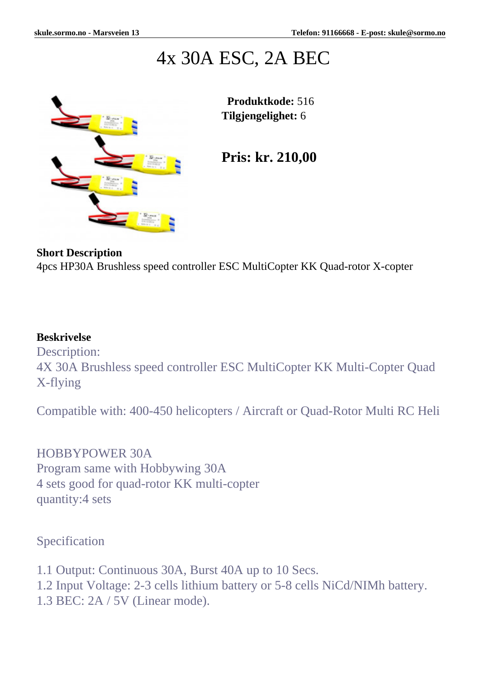# 4x 30A ESC, 2A BEC



 **Produktkode:** 516 **Tilgjengelighet:** 6

**Pris: kr. 210,00**

### **Short Description**

4pcs HP30A Brushless speed controller ESC MultiCopter KK Quad-rotor X-copter

### **Beskrivelse**

Description: 4X 30A Brushless speed controller ESC MultiCopter KK Multi-Copter Quad X-flying

Compatible with: 400-450 helicopters / Aircraft or Quad-Rotor Multi RC Heli

# HOBBYPOWER 30A

Program same with Hobbywing 30A 4 sets good for quad-rotor KK multi-copter quantity:4 sets

# Specification

1.1 Output: Continuous 30A, Burst 40A up to 10 Secs. 1.2 Input Voltage: 2-3 cells lithium battery or 5-8 cells NiCd/NIMh battery. 1.3 BEC: 2A / 5V (Linear mode).